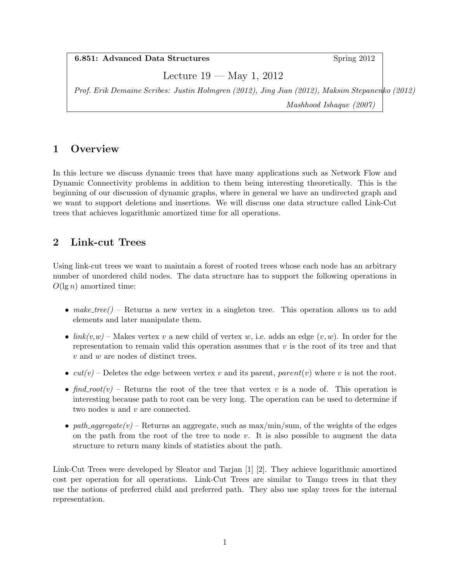**6.851: Advanced Data Structures** Spring 2012

Lecture  $19$  — May 1, 2012

Prof. Erik Demaine Scribes: Justin Holmgren (2012), Jing Jian (2012), Maksim Stepanenko (2012) Mashhood Ishaque (2007)

# 1 Overview

In this lecture we discuss dynamic trees that have many applications such as Network Flow and Dynamic Connectivity problems in addition to them being interesting theoretically. This is the beginning of our discussion of dynamic graphs, where in general we have an undirected graph and we want to support deletions and insertions. We will discuss one data structure called Link-Cut trees that achieves logarithmic amortized time for all operations.

## 2 Link-cut Trees

Using link-cut trees we want to maintain a forest of rooted trees whose each node has an arbitrary number of unordered child nodes. The data structure has to support the following operations in  $O(\lg n)$  amortized time:

- make tree() Returns a new vertex in a singleton tree. This operation allows us to add elements and later manipulate them.
- $link(v, w)$  Makes vertex v a new child of vertex w, i.e. adds an edge  $(v, w)$ . In order for the representation to remain valid this operation assumes that  $v$  is the root of its tree and that  $v$  and  $w$  are nodes of distinct trees.
- $cut(v)$  Deletes the edge between vertex v and its parent, parent(v) where v is not the root.
- find root(v) Returns the root of the tree that vertex v is a node of. This operation is interesting because path to root can be very long. The operation can be used to determine if two nodes u and v are connected.
- path aggregate(v) Returns an aggregate, such as  $\max/\min/\text{sum}$ , of the weights of the edges on the path from the root of the tree to node v. It is also possible to augment the data structure to return many kinds of statistics about the path.

Link-Cut Trees were developed by Sleator and Tarjan [1] [2]. They achieve logarithmic amortized cost per operation for all operations. Link-Cut Trees are similar to Tango trees in that they use the notions of preferred child and preferred path. They also use splay trees for the internal representation.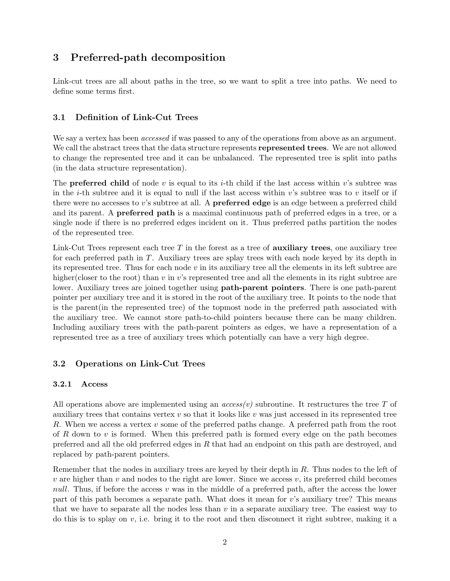# 3 Preferred-path decomposition

Link-cut trees are all about paths in the tree, so we want to split a tree into paths. We need to define some terms first.

### 3.1 Definition of Link-Cut Trees

We say a vertex has been *accessed* if was passed to any of the operations from above as an argument. We call the abstract trees that the data structure represents **represented trees**. We are not allowed to change the represented tree and it can be unbalanced. The represented tree is split into paths (in the data structure representation).

The **preferred child** of node v is equal to its i-th child if the last access within v's subtree was in the *i*-th subtree and it is equal to null if the last access within  $v$ 's subtree was to  $v$  itself or if there were no accesses to  $v$ 's subtree at all. A **preferred edge** is an edge between a preferred child and its parent. A **preferred path** is a maximal continuous path of preferred edges in a tree, or a single node if there is no preferred edges incident on it. Thus preferred paths partition the nodes of the represented tree.

Link-Cut Trees represent each tree  $T$  in the forest as a tree of **auxiliary trees**, one auxiliary tree for each preferred path in T. Auxiliary trees are splay trees with each node keyed by its depth in its represented tree. Thus for each node  $v$  in its auxiliary tree all the elements in its left subtree are higher(closer to the root) than  $v$  in  $v$ 's represented tree and all the elements in its right subtree are lower. Auxiliary trees are joined together using **path-parent pointers**. There is one path-parent pointer per auxiliary tree and it is stored in the root of the auxiliary tree. It points to the node that is the parent(in the represented tree) of the topmost node in the preferred path associated with the auxiliary tree. We cannot store path-to-child pointers because there can be many children. Including auxiliary trees with the path-parent pointers as edges, we have a representation of a represented tree as a tree of auxiliary trees which potentially can have a very high degree.

### 3.2 Operations on Link-Cut Trees

#### 3.2.1 Access

All operations above are implemented using an  $access(v)$  subroutine. It restructures the tree T of auxiliary trees that contains vertex  $v$  so that it looks like  $v$  was just accessed in its represented tree R. When we access a vertex  $v$  some of the preferred paths change. A preferred path from the root of R down to  $v$  is formed. When this preferred path is formed every edge on the path becomes preferred and all the old preferred edges in  $R$  that had an endpoint on this path are destroyed, and replaced by path-parent pointers.

Remember that the nodes in auxiliary trees are keyed by their depth in R. Thus nodes to the left of  $v$  are higher than  $v$  and nodes to the right are lower. Since we access  $v$ , its preferred child becomes null. Thus, if before the access v was in the middle of a preferred path, after the access the lower part of this path becomes a separate path. What does it mean for v's auxiliary tree? This means that we have to separate all the nodes less than  $v$  in a separate auxiliary tree. The easiest way to do this is to splay on  $v$ , i.e. bring it to the root and then disconnect it right subtree, making it a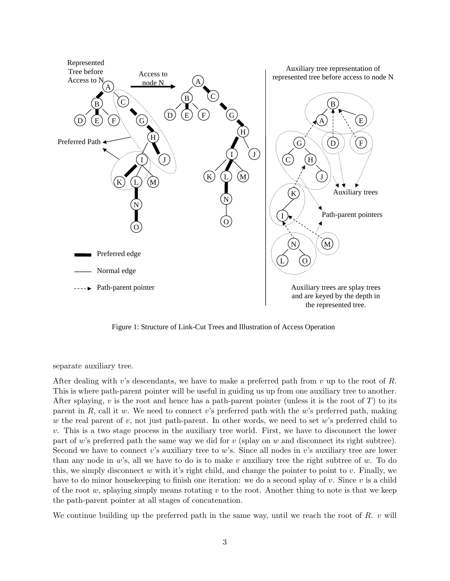

Figure 1: Structure of Link-Cut Trees and Illustration of Access Operation

separate auxiliary tree.

After dealing with v's descendants, we have to make a preferred path from v up to the root of R. This is where path-parent pointer will be useful in guiding us up from one auxiliary tree to another. After splaying, v is the root and hence has a path-parent pointer (unless it is the root of  $T$ ) to its parent in  $R$ , call it w. We need to connect v's preferred path with the w's preferred path, making w the real parent of v, not just path-parent. In other words, we need to set w's preferred child to v. This is a two stage process in the auxiliary tree world. First, we have to disconnect the lower part of w's preferred path the same way we did for  $v$  (splay on  $w$  and disconnect its right subtree). Second we have to connect v's auxiliary tree to w's. Since all nodes in v's auxiliary tree are lower than any node in  $w$ 's, all we have to do is to make v auxiliary tree the right subtree of  $w$ . To do this, we simply disconnect  $w$  with it's right child, and change the pointer to point to  $v$ . Finally, we have to do minor house keeping to finish one iteration: we do a second splay of v. Since v is a child of the root  $w$ , splaying simply means rotating  $v$  to the root. Another thing to note is that we keep the path-parent pointer at all stages of concatenation.

We continue building up the preferred path in the same way, until we reach the root of  $R$ .  $v$  will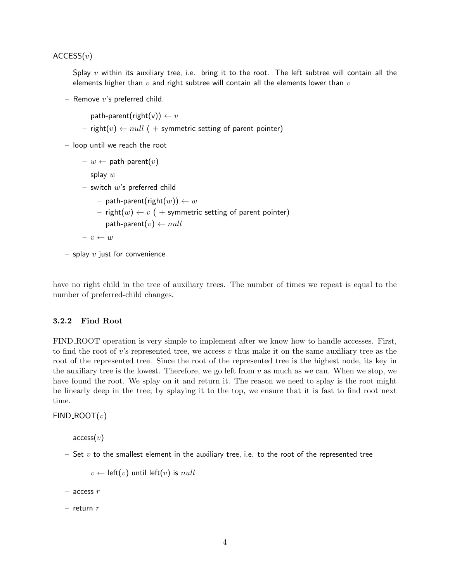$ACCESS(v)$ 

- Splay  $v$  within its auxiliary tree, i.e. bring it to the root. The left subtree will contain all the elements higher than  $v$  and right subtree will contain all the elements lower than  $v$
- Remove  $v$ 's preferred child.
	- path-parent(right(v))  $\leftarrow v$
	- right $(v) \leftarrow null$  ( + symmetric setting of parent pointer)
- loop until we reach the root
	- $w \leftarrow$  path-parent(v)
	- splay  $w$
	- switch  $w$ 's preferred child
		- path-parent(right(w))  $\leftarrow w$
		- right $(w) \leftarrow v$  ( + symmetric setting of parent pointer)
		- path-parent $(v) \leftarrow null$

```
- v \leftarrow w
```
– splay  $v$  just for convenience

have no right child in the tree of auxiliary trees. The number of times we repeat is equal to the number of preferred-child changes.

#### 3.2.2 Find Root

FIND ROOT operation is very simple to implement after we know how to handle accesses. First, to find the root of  $v$ 's represented tree, we access  $v$  thus make it on the same auxiliary tree as the root of the represented tree. Since the root of the represented tree is the highest node, its key in the auxiliary tree is the lowest. Therefore, we go left from  $v$  as much as we can. When we stop, we have found the root. We splay on it and return it. The reason we need to splay is the root might be linearly deep in the tree; by splaying it to the top, we ensure that it is fast to find root next time.

 $FIND$ <sub>-ROOT</sub> $(v)$ 

–  $\operatorname{access}(v)$ 

 $-$  Set  $v$  to the smallest element in the auxiliary tree, i.e. to the root of the represented tree

 $- v \leftarrow$  left(v) until left(v) is null

 $-$  access  $r$ 

– return  $r$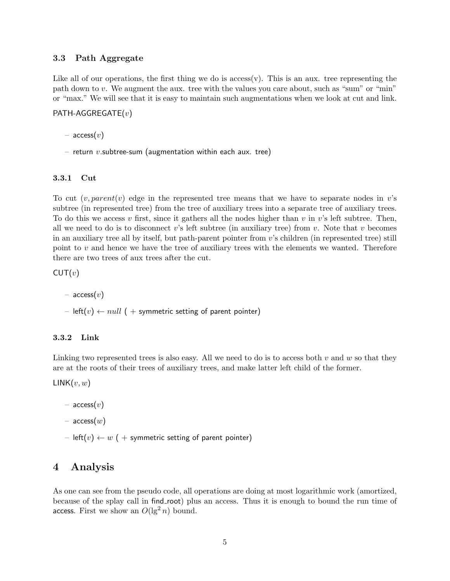#### 3.3 Path Aggregate

Like all of our operations, the first thing we do is  $\arccos(v)$ . This is an aux. tree representing the path down to  $v$ . We augment the aux. tree with the values you care about, such as "sum" or "min" or "max." We will see that it is easy to maintain such augmentations when we look at cut and link.

#### PATH-AGGREGATE $(v)$

–  $\operatorname{access}(v)$ 

– return  $v$ .subtree-sum (augmentation within each aux. tree)

#### 3.3.1 Cut

To cut  $(v, parent(v))$  edge in the represented tree means that we have to separate nodes in v's subtree (in represented tree) from the tree of auxiliary trees into a separate tree of auxiliary trees. To do this we access v first, since it gathers all the nodes higher than v in v's left subtree. Then, all we need to do is to disconnect v's left subtree (in auxiliary tree) from v. Note that v becomes in an auxiliary tree all by itself, but path-parent pointer from  $v$ 's children (in represented tree) still point to  $v$  and hence we have the tree of auxiliary trees with the elements we wanted. Therefore there are two trees of aux trees after the cut.

 $CUT(v)$ 

 $-$  access $(v)$ 

– left(v) ←  $null$  ( + symmetric setting of parent pointer)

#### 3.3.2 Link

Linking two represented trees is also easy. All we need to do is to access both v and w so that they are at the roots of their trees of auxiliary trees, and make latter left child of the former.

 $LINK(v, w)$ 

- $-$  access $(v)$
- $access(w)$
- left $(v) \leftarrow w$  ( + symmetric setting of parent pointer)

### 4 Analysis

As one can see from the pseudo code, all operations are doing at most logarithmic work (amortized, because of the splay call in find root) plus an access. Thus it is enough to bound the run time of access. First we show an  $O(\lg^2 n)$  bound.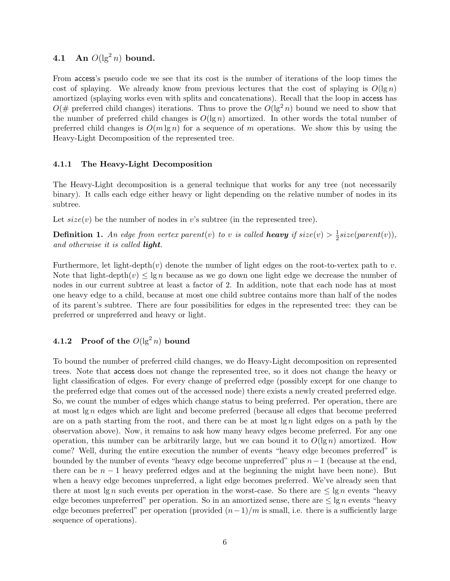# 4.1 An  $O(\lg^2 n)$  bound.

From access's pseudo code we see that its cost is the number of iterations of the loop times the cost of splaying. We already know from previous lectures that the cost of splaying is  $O(\lg n)$ amortized (splaying works even with splits and concatenations). Recall that the loop in access has  $O(\#$  preferred child changes) iterations. Thus to prove the  $O(\lg^2 n)$  bound we need to show that the number of preferred child changes is  $O(\lg n)$  amortized. In other words the total number of preferred child changes is  $O(m \lg n)$  for a sequence of m operations. We show this by using the Heavy-Light Decomposition of the represented tree.

#### 4.1.1 The Heavy-Light Decomposition

The Heavy-Light decomposition is a general technique that works for any tree (not necessarily binary). It calls each edge either heavy or light depending on the relative number of nodes in its subtree.

Let  $size(v)$  be the number of nodes in v's subtree (in the represented tree).

**Definition 1.** An edge from vertex parent(v) to v is called **heavy** if  $size(v) > \frac{1}{2}$  $\frac{1}{2}size(parent(v)),$ and otherwise it is called **light**.

Furthermore, let light-depth $(v)$  denote the number of light edges on the root-to-vertex path to v. Note that light-depth $(v) \leq \lg n$  because as we go down one light edge we decrease the number of nodes in our current subtree at least a factor of 2. In addition, note that each node has at most one heavy edge to a child, because at most one child subtree contains more than half of the nodes of its parent's subtree. There are four possibilities for edges in the represented tree: they can be preferred or unpreferred and heavy or light.

### 4.1.2 Proof of the  $O(\lg^2 n)$  bound

To bound the number of preferred child changes, we do Heavy-Light decomposition on represented trees. Note that access does not change the represented tree, so it does not change the heavy or light classification of edges. For every change of preferred edge (possibly except for one change to the preferred edge that comes out of the accessed node) there exists a newly created preferred edge. So, we count the number of edges which change status to being preferred. Per operation, there are at most  $\lg n$  edges which are light and become preferred (because all edges that become preferred are on a path starting from the root, and there can be at most  $\lg n$  light edges on a path by the observation above). Now, it remains to ask how many heavy edges become preferred. For any one operation, this number can be arbitrarily large, but we can bound it to  $O(\lg n)$  amortized. How come? Well, during the entire execution the number of events "heavy edge becomes preferred" is bounded by the number of events "heavy edge become unpreferred" plus  $n-1$  (because at the end, there can be  $n-1$  heavy preferred edges and at the beginning the might have been none). But when a heavy edge becomes unpreferred, a light edge becomes preferred. We've already seen that there at most  $\lg n$  such events per operation in the worst-case. So there are  $\leq \lg n$  events "heavy" edge becomes unpreferred" per operation. So in an amortized sense, there are  $\leq \lg n$  events "heavy" edge becomes preferred" per operation (provided  $(n-1)/m$  is small, i.e. there is a sufficiently large sequence of operations).